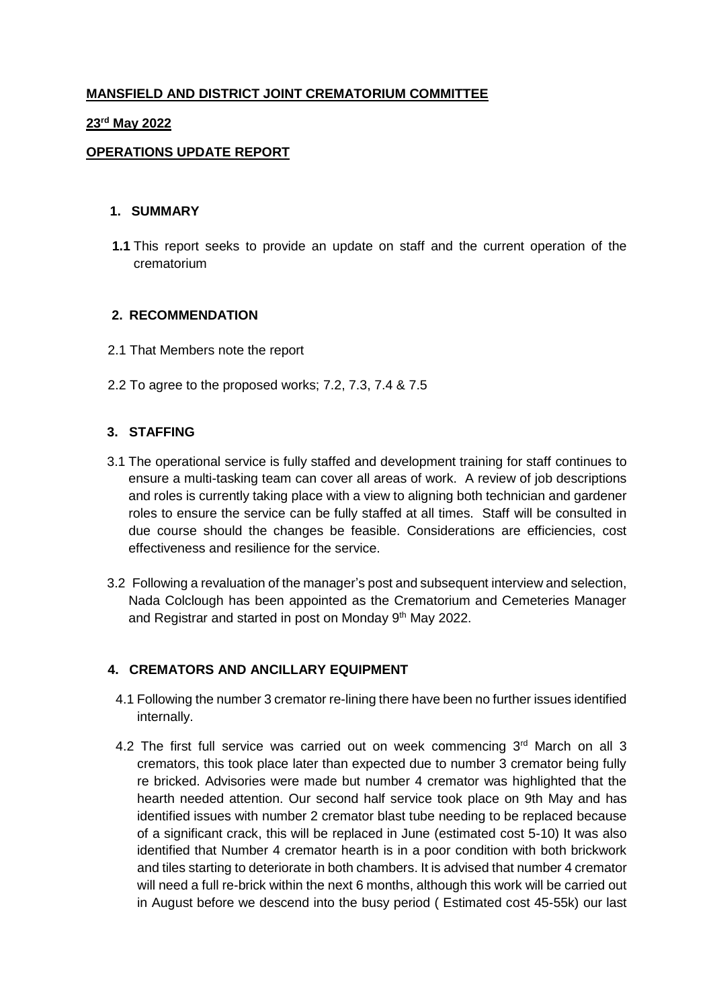# **MANSFIELD AND DISTRICT JOINT CREMATORIUM COMMITTEE**

#### **23rd May 2022**

## **OPERATIONS UPDATE REPORT**

#### **1. SUMMARY**

**1.1** This report seeks to provide an update on staff and the current operation of the crematorium

#### **2. RECOMMENDATION**

- 2.1 That Members note the report
- 2.2 To agree to the proposed works; 7.2, 7.3, 7.4 & 7.5

#### **3. STAFFING**

- 3.1 The operational service is fully staffed and development training for staff continues to ensure a multi-tasking team can cover all areas of work. A review of job descriptions and roles is currently taking place with a view to aligning both technician and gardener roles to ensure the service can be fully staffed at all times. Staff will be consulted in due course should the changes be feasible. Considerations are efficiencies, cost effectiveness and resilience for the service.
- 3.2 Following a revaluation of the manager's post and subsequent interview and selection, Nada Colclough has been appointed as the Crematorium and Cemeteries Manager and Registrar and started in post on Monday 9<sup>th</sup> May 2022.

#### **4. CREMATORS AND ANCILLARY EQUIPMENT**

- 4.1 Following the number 3 cremator re-lining there have been no further issues identified internally.
- 4.2 The first full service was carried out on week commencing 3<sup>rd</sup> March on all 3 cremators, this took place later than expected due to number 3 cremator being fully re bricked. Advisories were made but number 4 cremator was highlighted that the hearth needed attention. Our second half service took place on 9th May and has identified issues with number 2 cremator blast tube needing to be replaced because of a significant crack, this will be replaced in June (estimated cost 5-10) It was also identified that Number 4 cremator hearth is in a poor condition with both brickwork and tiles starting to deteriorate in both chambers. It is advised that number 4 cremator will need a full re-brick within the next 6 months, although this work will be carried out in August before we descend into the busy period ( Estimated cost 45-55k) our last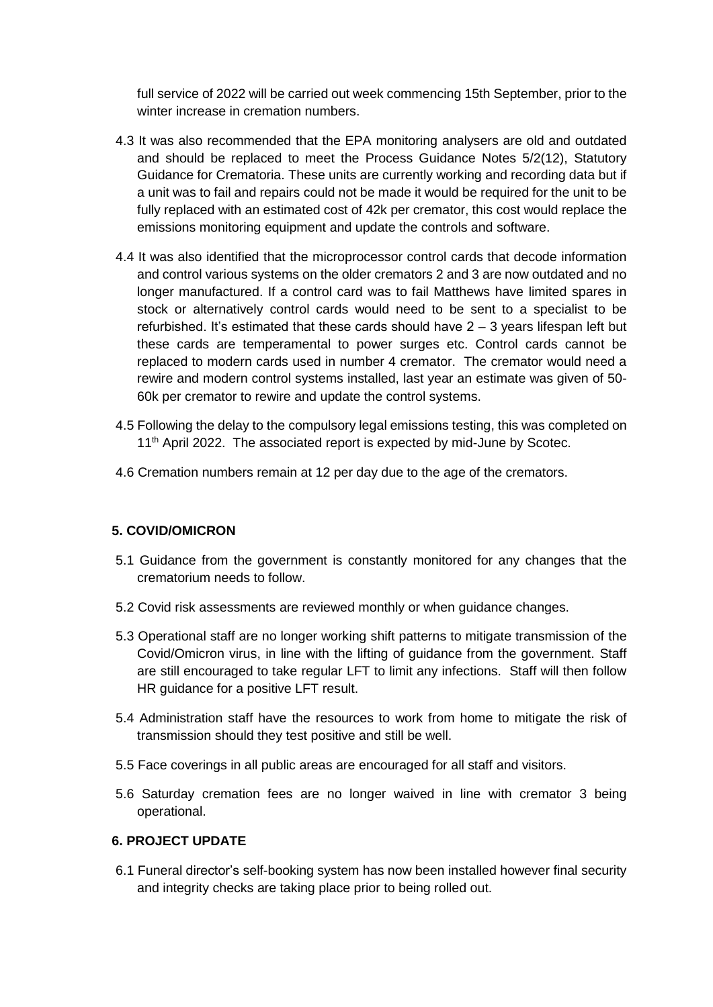full service of 2022 will be carried out week commencing 15th September, prior to the winter increase in cremation numbers.

- 4.3 It was also recommended that the EPA monitoring analysers are old and outdated and should be replaced to meet the Process Guidance Notes 5/2(12), Statutory Guidance for Crematoria. These units are currently working and recording data but if a unit was to fail and repairs could not be made it would be required for the unit to be fully replaced with an estimated cost of 42k per cremator, this cost would replace the emissions monitoring equipment and update the controls and software.
- 4.4 It was also identified that the microprocessor control cards that decode information and control various systems on the older cremators 2 and 3 are now outdated and no longer manufactured. If a control card was to fail Matthews have limited spares in stock or alternatively control cards would need to be sent to a specialist to be refurbished. It's estimated that these cards should have  $2 - 3$  years lifespan left but these cards are temperamental to power surges etc. Control cards cannot be replaced to modern cards used in number 4 cremator. The cremator would need a rewire and modern control systems installed, last year an estimate was given of 50- 60k per cremator to rewire and update the control systems.
- 4.5 Following the delay to the compulsory legal emissions testing, this was completed on 11<sup>th</sup> April 2022. The associated report is expected by mid-June by Scotec.
- 4.6 Cremation numbers remain at 12 per day due to the age of the cremators.

#### **5. COVID/OMICRON**

- 5.1 Guidance from the government is constantly monitored for any changes that the crematorium needs to follow.
- 5.2 Covid risk assessments are reviewed monthly or when guidance changes.
- 5.3 Operational staff are no longer working shift patterns to mitigate transmission of the Covid/Omicron virus, in line with the lifting of guidance from the government. Staff are still encouraged to take regular LFT to limit any infections. Staff will then follow HR guidance for a positive LFT result.
- 5.4 Administration staff have the resources to work from home to mitigate the risk of transmission should they test positive and still be well.
- 5.5 Face coverings in all public areas are encouraged for all staff and visitors.
- 5.6 Saturday cremation fees are no longer waived in line with cremator 3 being operational.

# **6. PROJECT UPDATE**

6.1 Funeral director's self-booking system has now been installed however final security and integrity checks are taking place prior to being rolled out.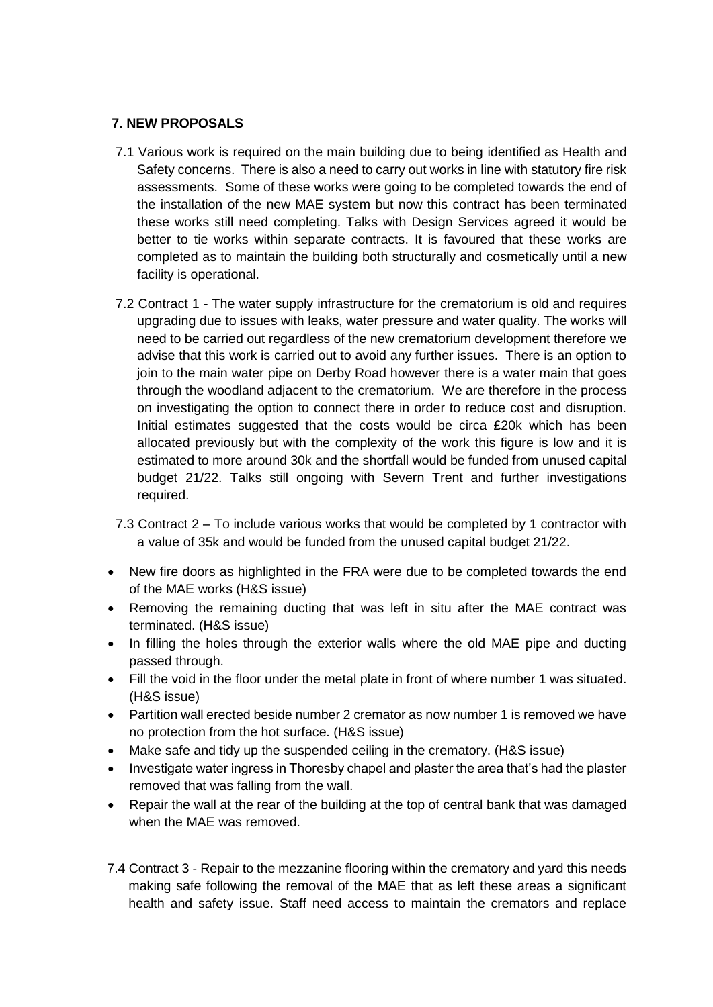# **7. NEW PROPOSALS**

- 7.1 Various work is required on the main building due to being identified as Health and Safety concerns. There is also a need to carry out works in line with statutory fire risk assessments. Some of these works were going to be completed towards the end of the installation of the new MAE system but now this contract has been terminated these works still need completing. Talks with Design Services agreed it would be better to tie works within separate contracts. It is favoured that these works are completed as to maintain the building both structurally and cosmetically until a new facility is operational.
- 7.2 Contract 1 The water supply infrastructure for the crematorium is old and requires upgrading due to issues with leaks, water pressure and water quality. The works will need to be carried out regardless of the new crematorium development therefore we advise that this work is carried out to avoid any further issues. There is an option to join to the main water pipe on Derby Road however there is a water main that goes through the woodland adjacent to the crematorium. We are therefore in the process on investigating the option to connect there in order to reduce cost and disruption. Initial estimates suggested that the costs would be circa £20k which has been allocated previously but with the complexity of the work this figure is low and it is estimated to more around 30k and the shortfall would be funded from unused capital budget 21/22. Talks still ongoing with Severn Trent and further investigations required.
- 7.3 Contract 2 To include various works that would be completed by 1 contractor with a value of 35k and would be funded from the unused capital budget 21/22.
- New fire doors as highlighted in the FRA were due to be completed towards the end of the MAE works (H&S issue)
- Removing the remaining ducting that was left in situ after the MAE contract was terminated. (H&S issue)
- In filling the holes through the exterior walls where the old MAE pipe and ducting passed through.
- Fill the void in the floor under the metal plate in front of where number 1 was situated. (H&S issue)
- Partition wall erected beside number 2 cremator as now number 1 is removed we have no protection from the hot surface. (H&S issue)
- Make safe and tidy up the suspended ceiling in the crematory. (H&S issue)
- Investigate water ingress in Thoresby chapel and plaster the area that's had the plaster removed that was falling from the wall.
- Repair the wall at the rear of the building at the top of central bank that was damaged when the MAE was removed.
- 7.4 Contract 3 Repair to the mezzanine flooring within the crematory and yard this needs making safe following the removal of the MAE that as left these areas a significant health and safety issue. Staff need access to maintain the cremators and replace